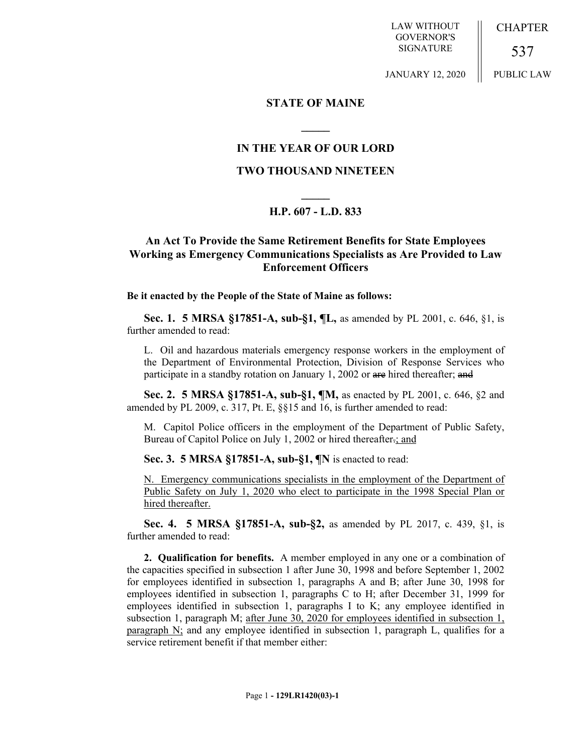LAW WITHOUT GOVERNOR'S SIGNATURE

CHAPTER

PUBLIC LAW

537

JANUARY 12, 2020

### **STATE OF MAINE**

**\_\_\_\_\_**

### **IN THE YEAR OF OUR LORD**

## **TWO THOUSAND NINETEEN**

# **\_\_\_\_\_ H.P. 607 - L.D. 833**

# **An Act To Provide the Same Retirement Benefits for State Employees Working as Emergency Communications Specialists as Are Provided to Law Enforcement Officers**

### **Be it enacted by the People of the State of Maine as follows:**

**Sec. 1. 5 MRSA §17851-A, sub-§1, ¶L,** as amended by PL 2001, c. 646, §1, is further amended to read:

L. Oil and hazardous materials emergency response workers in the employment of the Department of Environmental Protection, Division of Response Services who participate in a standby rotation on January 1, 2002 or are hired thereafter; and

**Sec. 2. 5 MRSA §17851-A, sub-§1, ¶M,** as enacted by PL 2001, c. 646, §2 and amended by PL 2009, c. 317, Pt. E, §§15 and 16, is further amended to read:

M. Capitol Police officers in the employment of the Department of Public Safety, Bureau of Capitol Police on July 1, 2002 or hired thereafter-; and

**Sec. 3. 5 MRSA §17851-A, sub-§1, ¶N** is enacted to read:

N. Emergency communications specialists in the employment of the Department of Public Safety on July 1, 2020 who elect to participate in the 1998 Special Plan or hired thereafter.

**Sec. 4. 5 MRSA §17851-A, sub-§2,** as amended by PL 2017, c. 439, §1, is further amended to read:

**2. Qualification for benefits.** A member employed in any one or a combination of the capacities specified in subsection 1 after June 30, 1998 and before September 1, 2002 for employees identified in subsection 1, paragraphs A and B; after June 30, 1998 for employees identified in subsection 1, paragraphs C to H; after December 31, 1999 for employees identified in subsection 1, paragraphs I to K; any employee identified in subsection 1, paragraph M; after June 30, 2020 for employees identified in subsection 1, paragraph N; and any employee identified in subsection 1, paragraph L, qualifies for a service retirement benefit if that member either: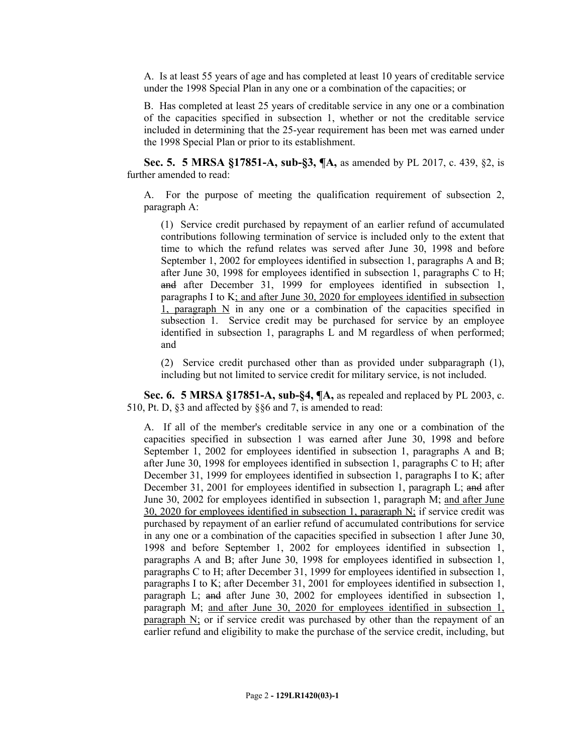A. Is at least 55 years of age and has completed at least 10 years of creditable service under the 1998 Special Plan in any one or a combination of the capacities; or

B. Has completed at least 25 years of creditable service in any one or a combination of the capacities specified in subsection 1, whether or not the creditable service included in determining that the 25-year requirement has been met was earned under the 1998 Special Plan or prior to its establishment.

**Sec. 5. 5 MRSA §17851-A, sub-§3, ¶A,** as amended by PL 2017, c. 439, §2, is further amended to read:

A. For the purpose of meeting the qualification requirement of subsection 2, paragraph A:

(1) Service credit purchased by repayment of an earlier refund of accumulated contributions following termination of service is included only to the extent that time to which the refund relates was served after June 30, 1998 and before September 1, 2002 for employees identified in subsection 1, paragraphs A and B; after June 30, 1998 for employees identified in subsection 1, paragraphs C to H; and after December 31, 1999 for employees identified in subsection 1, paragraphs I to K; and after June 30, 2020 for employees identified in subsection 1, paragraph N in any one or a combination of the capacities specified in subsection 1. Service credit may be purchased for service by an employee identified in subsection 1, paragraphs L and M regardless of when performed; and

(2) Service credit purchased other than as provided under subparagraph (1), including but not limited to service credit for military service, is not included.

**Sec. 6. 5 MRSA §17851-A, sub-§4, ¶A,** as repealed and replaced by PL 2003, c. 510, Pt. D, §3 and affected by §§6 and 7, is amended to read:

A. If all of the member's creditable service in any one or a combination of the capacities specified in subsection 1 was earned after June 30, 1998 and before September 1, 2002 for employees identified in subsection 1, paragraphs A and B; after June 30, 1998 for employees identified in subsection 1, paragraphs C to H; after December 31, 1999 for employees identified in subsection 1, paragraphs I to K; after December 31, 2001 for employees identified in subsection 1, paragraph L; and after June 30, 2002 for employees identified in subsection 1, paragraph M; and after June 30, 2020 for employees identified in subsection 1, paragraph N; if service credit was purchased by repayment of an earlier refund of accumulated contributions for service in any one or a combination of the capacities specified in subsection 1 after June 30, 1998 and before September 1, 2002 for employees identified in subsection 1, paragraphs A and B; after June 30, 1998 for employees identified in subsection 1, paragraphs C to H; after December 31, 1999 for employees identified in subsection 1, paragraphs I to K; after December 31, 2001 for employees identified in subsection 1, paragraph L; and after June 30, 2002 for employees identified in subsection 1, paragraph M; and after June 30, 2020 for employees identified in subsection 1, paragraph N; or if service credit was purchased by other than the repayment of an earlier refund and eligibility to make the purchase of the service credit, including, but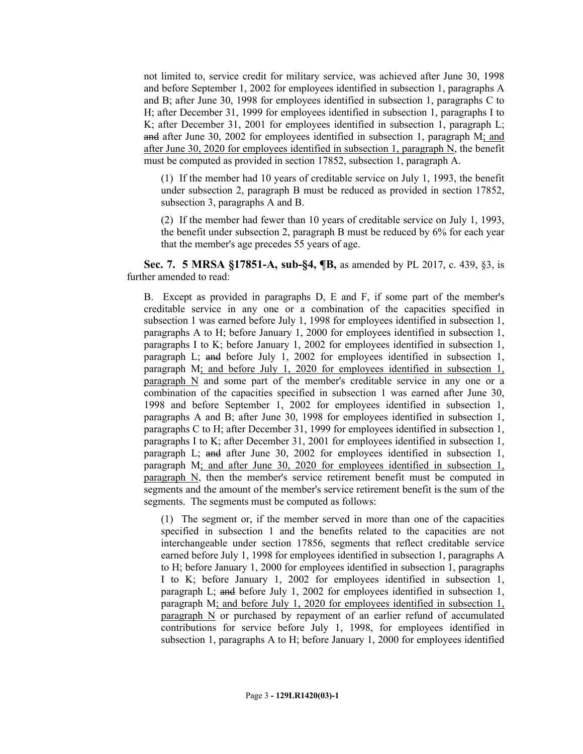not limited to, service credit for military service, was achieved after June 30, 1998 and before September 1, 2002 for employees identified in subsection 1, paragraphs A and B; after June 30, 1998 for employees identified in subsection 1, paragraphs C to H; after December 31, 1999 for employees identified in subsection 1, paragraphs I to K; after December 31, 2001 for employees identified in subsection 1, paragraph L; and after June 30, 2002 for employees identified in subsection 1, paragraph M; and after June 30, 2020 for employees identified in subsection 1, paragraph N, the benefit must be computed as provided in section 17852, subsection 1, paragraph A.

(1) If the member had 10 years of creditable service on July 1, 1993, the benefit under subsection 2, paragraph B must be reduced as provided in section 17852, subsection 3, paragraphs A and B.

(2) If the member had fewer than 10 years of creditable service on July 1, 1993, the benefit under subsection 2, paragraph B must be reduced by 6% for each year that the member's age precedes 55 years of age.

**Sec. 7. 5 MRSA §17851-A, sub-§4, ¶B,** as amended by PL 2017, c. 439, §3, is further amended to read:

B. Except as provided in paragraphs D, E and F, if some part of the member's creditable service in any one or a combination of the capacities specified in subsection 1 was earned before July 1, 1998 for employees identified in subsection 1, paragraphs A to H; before January 1, 2000 for employees identified in subsection 1, paragraphs I to K; before January 1, 2002 for employees identified in subsection 1, paragraph L; and before July 1, 2002 for employees identified in subsection 1, paragraph M; and before July 1, 2020 for employees identified in subsection 1, paragraph N and some part of the member's creditable service in any one or a combination of the capacities specified in subsection 1 was earned after June 30, 1998 and before September 1, 2002 for employees identified in subsection 1, paragraphs A and B; after June 30, 1998 for employees identified in subsection 1, paragraphs C to H; after December 31, 1999 for employees identified in subsection 1, paragraphs I to K; after December 31, 2001 for employees identified in subsection 1, paragraph L; and after June 30, 2002 for employees identified in subsection 1, paragraph M; and after June 30, 2020 for employees identified in subsection 1, paragraph N, then the member's service retirement benefit must be computed in segments and the amount of the member's service retirement benefit is the sum of the segments. The segments must be computed as follows:

(1) The segment or, if the member served in more than one of the capacities specified in subsection 1 and the benefits related to the capacities are not interchangeable under section 17856, segments that reflect creditable service earned before July 1, 1998 for employees identified in subsection 1, paragraphs A to H; before January 1, 2000 for employees identified in subsection 1, paragraphs I to K; before January 1, 2002 for employees identified in subsection 1, paragraph L; and before July 1, 2002 for employees identified in subsection 1, paragraph M; and before July 1, 2020 for employees identified in subsection 1, paragraph N or purchased by repayment of an earlier refund of accumulated contributions for service before July 1, 1998, for employees identified in subsection 1, paragraphs A to H; before January 1, 2000 for employees identified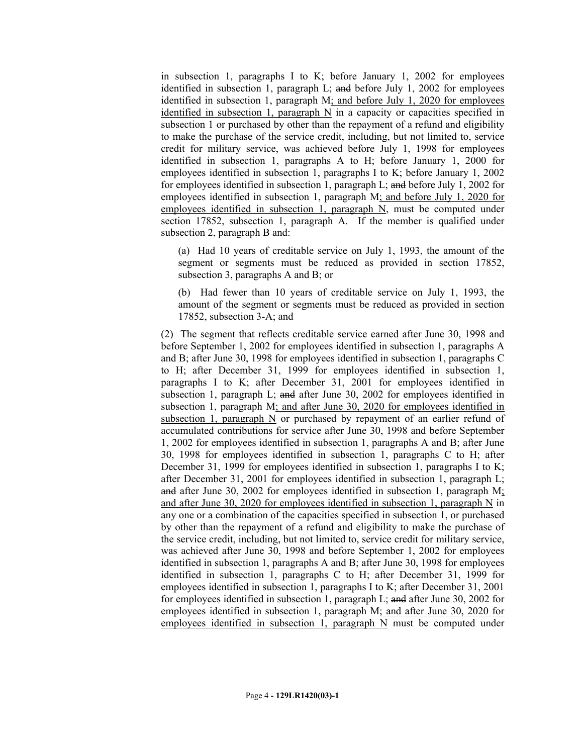in subsection 1, paragraphs I to K; before January 1, 2002 for employees identified in subsection 1, paragraph L; and before July 1, 2002 for employees identified in subsection 1, paragraph M; and before July 1, 2020 for employees identified in subsection 1, paragraph N in a capacity or capacities specified in subsection 1 or purchased by other than the repayment of a refund and eligibility to make the purchase of the service credit, including, but not limited to, service credit for military service, was achieved before July 1, 1998 for employees identified in subsection 1, paragraphs A to H; before January 1, 2000 for employees identified in subsection 1, paragraphs I to K; before January 1, 2002 for employees identified in subsection 1, paragraph L; and before July 1, 2002 for employees identified in subsection 1, paragraph M; and before July 1, 2020 for employees identified in subsection 1, paragraph N, must be computed under section 17852, subsection 1, paragraph A. If the member is qualified under subsection 2, paragraph B and:

(a) Had 10 years of creditable service on July 1, 1993, the amount of the segment or segments must be reduced as provided in section 17852, subsection 3, paragraphs A and B; or

(b) Had fewer than 10 years of creditable service on July 1, 1993, the amount of the segment or segments must be reduced as provided in section 17852, subsection 3-A; and

(2) The segment that reflects creditable service earned after June 30, 1998 and before September 1, 2002 for employees identified in subsection 1, paragraphs A and B; after June 30, 1998 for employees identified in subsection 1, paragraphs C to H; after December 31, 1999 for employees identified in subsection 1, paragraphs I to K; after December 31, 2001 for employees identified in subsection 1, paragraph L; and after June 30, 2002 for employees identified in subsection 1, paragraph M; and after June 30, 2020 for employees identified in subsection 1, paragraph  $N$  or purchased by repayment of an earlier refund of accumulated contributions for service after June 30, 1998 and before September 1, 2002 for employees identified in subsection 1, paragraphs A and B; after June 30, 1998 for employees identified in subsection 1, paragraphs C to H; after December 31, 1999 for employees identified in subsection 1, paragraphs I to K; after December 31, 2001 for employees identified in subsection 1, paragraph L; and after June 30, 2002 for employees identified in subsection 1, paragraph M; and after June 30, 2020 for employees identified in subsection 1, paragraph N in any one or a combination of the capacities specified in subsection 1, or purchased by other than the repayment of a refund and eligibility to make the purchase of the service credit, including, but not limited to, service credit for military service, was achieved after June 30, 1998 and before September 1, 2002 for employees identified in subsection 1, paragraphs A and B; after June 30, 1998 for employees identified in subsection 1, paragraphs C to H; after December 31, 1999 for employees identified in subsection 1, paragraphs I to K; after December 31, 2001 for employees identified in subsection 1, paragraph L; and after June 30, 2002 for employees identified in subsection 1, paragraph M; and after June 30, 2020 for employees identified in subsection 1, paragraph  $N$  must be computed under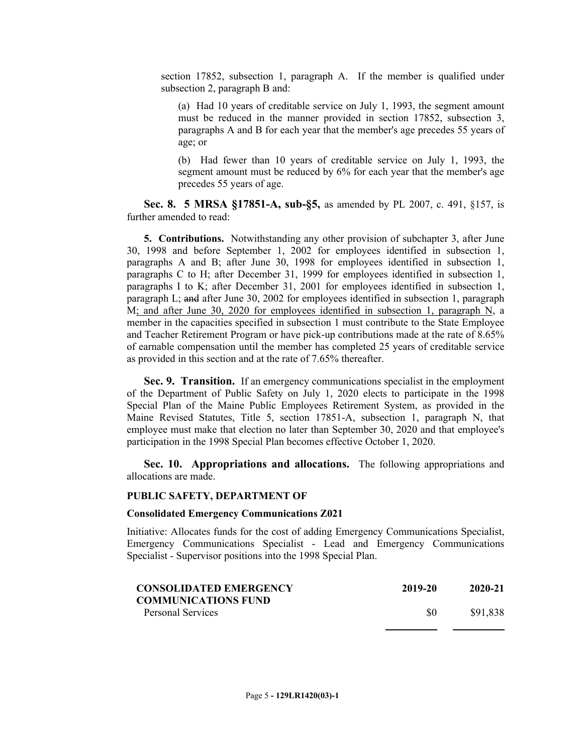section 17852, subsection 1, paragraph A. If the member is qualified under subsection 2, paragraph B and:

(a) Had 10 years of creditable service on July 1, 1993, the segment amount must be reduced in the manner provided in section 17852, subsection 3, paragraphs A and B for each year that the member's age precedes 55 years of age; or

(b) Had fewer than 10 years of creditable service on July 1, 1993, the segment amount must be reduced by 6% for each year that the member's age precedes 55 years of age.

**Sec. 8. 5 MRSA §17851-A, sub-§5,** as amended by PL 2007, c. 491, §157, is further amended to read:

**5. Contributions.** Notwithstanding any other provision of subchapter 3, after June 30, 1998 and before September 1, 2002 for employees identified in subsection 1, paragraphs A and B; after June 30, 1998 for employees identified in subsection 1, paragraphs C to H; after December 31, 1999 for employees identified in subsection 1, paragraphs I to K; after December 31, 2001 for employees identified in subsection 1, paragraph L; and after June 30, 2002 for employees identified in subsection 1, paragraph M; and after June 30, 2020 for employees identified in subsection 1, paragraph N, a member in the capacities specified in subsection 1 must contribute to the State Employee and Teacher Retirement Program or have pick-up contributions made at the rate of 8.65% of earnable compensation until the member has completed 25 years of creditable service as provided in this section and at the rate of 7.65% thereafter.

**Sec. 9. Transition.** If an emergency communications specialist in the employment of the Department of Public Safety on July 1, 2020 elects to participate in the 1998 Special Plan of the Maine Public Employees Retirement System, as provided in the Maine Revised Statutes, Title 5, section 17851-A, subsection 1, paragraph N, that employee must make that election no later than September 30, 2020 and that employee's participation in the 1998 Special Plan becomes effective October 1, 2020.

**Sec. 10. Appropriations and allocations.** The following appropriations and allocations are made.

#### **PUBLIC SAFETY, DEPARTMENT OF**

#### **Consolidated Emergency Communications Z021**

Initiative: Allocates funds for the cost of adding Emergency Communications Specialist, Emergency Communications Specialist - Lead and Emergency Communications Specialist - Supervisor positions into the 1998 Special Plan.

| <b>CONSOLIDATED EMERGENCY</b><br><b>COMMUNICATIONS FUND</b><br>Personal Services | 2019-20 | 2020-21 |
|----------------------------------------------------------------------------------|---------|---------|
|                                                                                  |         |         |